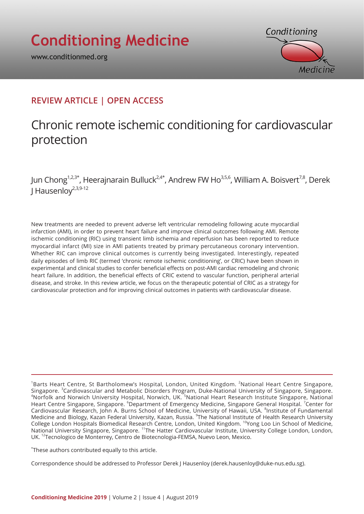www.conditionmed.org



# **REVIEW ARTICLE | OPEN ACCESS**

# Chronic remote ischemic conditioning for cardiovascular protection

Jun Chong<sup>1,2,3\*</sup>, Heerajnarain Bulluck<sup>2,4\*</sup>, Andrew FW Ho<sup>3,5,6</sup>, William A. Boisvert<sup>7,8</sup>, Derek I Hausenlov $^{2,3,9-12}$ 

New treatments are needed to prevent adverse left ventricular remodeling following acute myocardial infarction (AMI), in order to prevent heart failure and improve clinical outcomes following AMI. Remote ischemic conditioning (RIC) using transient limb ischemia and reperfusion has been reported to reduce myocardial infarct (MI) size in AMI patients treated by primary percutaneous coronary intervention. Whether RIC can improve clinical outcomes is currently being investigated. Interestingly, repeated daily episodes of limb RIC (termed 'chronic remote ischemic conditioning', or CRIC) have been shown in experimental and clinical studies to confer beneficial effects on post-AMI cardiac remodeling and chronic heart failure. In addition, the beneficial effects of CRIC extend to vascular function, peripheral arterial disease, and stroke. In this review article, we focus on the therapeutic potential of CRIC as a strategy for cardiovascular protection and for improving clinical outcomes in patients with cardiovascular disease.

\* These authors contributed equally to this article.

Correspondence should be addressed to Professor Derek J Hausenloy (derek.hausenloy@duke-nus.edu.sg).

<sup>&</sup>lt;sup>1</sup>Barts Heart Centre, St Bartholomew's Hospital, London, United Kingdom. <sup>2</sup>National Heart Centre Singapore, Singapore. <sup>3</sup>Cardiovascular and Metabolic Disorders Program, Duke-National University of Singapore, Singapore.<br><sup>4</sup>Norfolk and Norwich University Hospital, Norwich UK, <sup>5</sup>National Hoart Pesearch Institute Singapore, Nation Norfolk and Norwich University Hospital, Norwich, UK. <sup>5</sup>National Heart Research Institute Singapore, National Heart Centre Singapore, Singapore. <sup>6</sup>Department of Emergency Medicine, Singapore General Hospital. <sup>7</sup>Center for Cardiovascular Research, John A. Burns School of Medicine, University of Hawaii, USA. <sup>8</sup>Institute of Fundamental Medicine and Biology, Kazan Federal University, Kazan, Russia. <sup>9</sup>The National Institute of Health Research University College London Hospitals Biomedical Research Centre, London, United Kingdom. 10Yong Loo Lin School of Medicine, National University Singapore, Singapore. <sup>11</sup>The Hatter Cardiovascular Institute, University College London, London, UK. 12Tecnologico de Monterrey, Centro de Biotecnologia-FEMSA, Nuevo Leon, Mexico.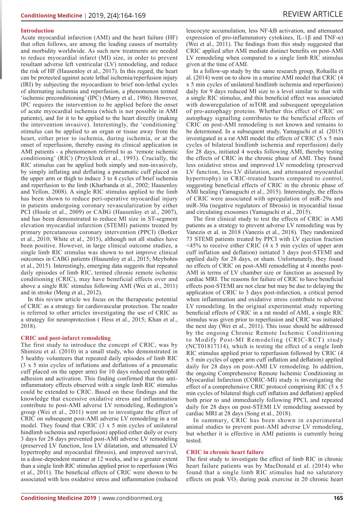#### **Introduction**

Acute myocardial infarction (AMI) and the heart failure (HF) that often follows, are among the leading causes of mortality and morbidity worldwide. As such new treatments are needed to reduce myocardial infarct (MI) size, in order to prevent resultant adverse left ventricular (LV) remodeling, and reduce the risk of HF (Hausenloy et al., 2017). In this regard, the heart can be protected against acute lethal ischemia/reperfusion injury (IRI) by subjecting the myocardium to brief non-lethal cycles of alternating ischemia and reperfusion, a phenomenon termed 'ischemic preconditioning' (IPC) (Murry et al., 1986). However, IPC requires the intervention to be applied before the onset of acute myocardial ischemia (which is not possible in AMI patients), and for it to be applied to the heart directly (making the intervention invasive). Interestingly, the 'conditioning' stimulus can be applied to an organ or tissue away from the heart, either prior to ischemia, during ischemia, or at the onset of reperfusion, thereby easing its clinical application in AMI patients - a phenomenon referred to as 'remote ischemic conditioning' (RIC) (Przyklenk et al., 1993). Crucially, the RIC stimulus can be applied both simply and non-invasively, by simply inflating and deflating a pneumatic cuff placed on the upper arm or thigh to induce 3 to 4 cycles of brief ischemia and reperfusion to the limb (Kharbanda et al., 2002; Hausenloy and Yellon, 2008). A single RIC stimulus applied to the limb has been shown to reduce peri-operative myocardial injury in patients undergoing coronary revascularization by either PCI (Hoole et al., 2009) or CABG (Hausenloy et al., 2007), and has been demonstrated to reduce MI size in ST-segment elevation myocardial infarction (STEMI) patients treated by primary percutaneous coronary intervention (PPCI) (Botker et al., 2010; White et al., 2015), although not all studies have been positive. However, in large clinical outcome studies, a single limb RIC stimulus was shown to not improve clinical outcomes in CABG patients (Hausenloy et al., 2015; Meybohm et al., 2015). Interestingly, emerging data suggests that repeated daily episodes of limb RIC, termed chronic remote ischemic conditioning (CRIC), may have beneficial effects over and above a single RIC stimulus following AMI (Wei et al., 2011) and in stroke (Meng et al., 2012).

In this review article we focus on the therapeutic potential of CRIC as a strategy for cardiovascular protection. The reader is referred to other articles investigating the use of CRIC as a strategy for neuroprotection ( Hess et al., 2015; Khan et al., 2018).

#### **CRIC and post-infarct remodeling**

The first study to introduce the concept of CRIC, was by Shimizu et al. (2010) in a small study, who demonstrated in 5 healthy volunteers that repeated daily episodes of limb RIC (3 x 5 min cycles of inflations and deflations of a pneumatic cuff placed on the upper arm) for 10 days reduced neutrophil adhesion and activation. This finding confirmed that the antiinflammatory effects observed with a single limb RIC stimulus could be extended to CRIC. Based on these findings and the knowledge that excessive oxidative stress and inflammation contribute to post-AMI adverse LV remodeling, Redington's group (Wei et al., 2011) went on to investigate the effect of CRIC on subsequent post-AMI adverse LV remodeling in a rat model. They found that CRIC (3 x 5 min cycles of unilateral hindlimb ischemia and reperfusion) applied either daily or every 3 days for 28 days prevented post-AMI adverse LV remodeling (preserved LV function, less LV dilatation, and attenuated LV hypertrophy and myocardial fibrosis), and improved survival, in a dose-dependent manner at 12 weeks, and to a greater extent than a single limb RIC stimulus applied prior to reperfusion (Wei et al., 2011). The beneficial effects of CRIC were shown to be associated with less oxidative stress and inflammation (reduced

leucocyte accumulation, less NF-kB activation, and attenuated expression of pro-inflammatory cytokines, IL-1β and TNF-α) (Wei et al., 2011). The findings from this study suggested that CRIC applied after AMI mediate distinct benefits on post-AMI LV remodeling when compared to a single limb RIC stimulus given at the time of AMI.

In a follow-up study by the same research group, Rohailla et al. (2014) went on to show in a murine AMI model that CRIC (4 x 5 min cycles of unilateral hindlimb ischemia and reperfusion) daily for 9 days reduced MI size to a level similar to that with a single RIC stimulus, and this beneficial effect was associated with downregulation of mTOR and subsequent upregulation of pro-autophagy proteins. Whether this effect of CRIC on autophagy signalling contributes to the beneficial effects of CRIC on post-AMI remodeling is not known and remains to be determined. In a subsequent study, Yamaguchi et al. (2015) investigated in a rat AMI model the effects of CRIC (5 x 5 min cycles of bilateral hindlimb ischemia and reperfusion) daily for 28 days, initiated 4 weeks following AMI, thereby testing the effects of CRIC in the chronic phase of AMI. They found less oxidative stress and improved LV remodeling (preserved LV function, less LV dilatation, and attenuated myocardial hypertrophy) in CRIC-treated hearts compared to control, suggesting beneficial effects of CRIC in the chronic phase of AMI healing (Yamaguchi et al., 2015). Interestingly, the effects of CRIC were associated with upregulation of miR-29a and miR-30a (negative regulators of fibrosis) in myocardial tissue and circulating exosomes (Yamaguchi et al., 2015).

The first clinical study to test the effects of CRIC in AMI patients as a strategy to prevent adverse LV remodeling was by Vanezis et al. in 2018 (Vanezis et al., 2018). They randomized 73 STEMI patients treated by PPCI with LV ejection fraction  $\leq$ 45% to receive either CRIC (4 x 5 min cycles of upper arm cuff inflation and deflation) initiated 3 days post-STEMI and applied daily for 28 days, or sham. Unfortunately, they found no effects of CRIC on post-AMI remodelling at 4 months post-AMI in terms of LV chamber size or function as assessed by cardiac MRI. The reasons for failure of CRIC to have beneficial effects post-STEMI are not clear but may be due to delaying the application of CRIC to 3 days post-infarction, a critical period when inflammation and oxidative stress contribute to adverse LV remodeling. In the original experimental study reporting beneficial effects of CRIC in a rat model of AMI, a single RIC stimulus was given prior to reperfusion and CRIC was initiated the next day (Wei et al., 2011). This issue should be addressed by the ongoing Chronic Remote Ischemic Conditioning to Modify Post-MI Remodeling (CRIC-RCT) study (NCT01817114), which is testing the effect of a single limb RIC stimulus applied prior to reperfusion followed by CRIC (4 x 5 min cycles of upper arm cuff inflation and deflation) applied daily for 28 days on post-AMI LV remodeling. In addition, the ongoing Comprehensive Remote Ischemic Conditioning in Myocardial Infarction (CORIC-MI) study is investigating the effect of a comprehensive CRIC protocol comprising RIC (5 x 5 min cycles of bilateral thigh cuff inflation and deflation) applied both prior to and immediately following PPCI, and repeated daily for 28 days on post-STEMI LV remodeling assessed by cardiac MRI at 28 days (Song et al., 2018).

In summary, CRIC has been shown in experimental animal studies to prevent post-AMI adverse LV remodeling, but whether it is effective in AMI patients is currently being tested.

#### **CRIC in chronic heart failure**

The first study to investigate the effect of limb RIC in chronic heart failure patients was by MacDonald et al. (2014) who found that a single limb RIC stimulus had no salutatory effects on peak VO<sub>2</sub> during peak exercise in 20 chronic heart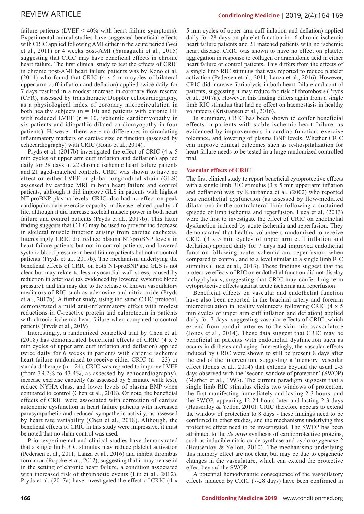failure patients (LVEF  $\leq 40\%$  with heart failure symptoms). Experimental animal studies have suggested beneficial effects with CRIC applied following AMI either in the acute period (Wei et al., 2011) or 4 weeks post-AMI (Yamaguchi et al., 2015) suggesting that CRIC may have beneficial effects in chronic heart failure. The first clinical study to test the effects of CRIC in chronic post-AMI heart failure patients was by Kono et al. (2014) who found that CRIC  $(4 \times 5 \text{ min cycles of bilateral})$ upper arm cuff inflation and deflation) applied twice daily for 7 days resulted in a modest increase in coronary flow reserve (CFR), assessed by transthoracic Doppler echocardiography, as a physiological index of coronary microcirculation in both healthy subjects  $(n = 10)$  and patients with chronic HF with reduced LVEF  $(n = 10)$ , ischemic cardiomyopathy in six patients and idiopathic dilated cardiomyopathy in four patients). However, there were no differences in circulating inflammatory markers or cardiac size or function (assessed by echocardiography) with CRIC (Kono et al., 2014) .

Pryds et al. (2017b) investigated the effect of CRIC (4 x 5 min cycles of upper arm cuff inflation and deflation) applied daily for 28 days in 22 chronic ischemic heart failure patients and 21 aged-matched controls. CRIC was shown to have no effect on either LVEF or global longitudinal strain (GLS) assessed by cardiac MRI in both heart failure and control patients, although it did improve GLS in patients with highest NT-proBNP plasma levels. CRIC also had no effect on peak cardiopulmonary exercise capacity or disease-related quality of life, although it did increase skeletal muscle power in both heart failure and control patients (Pryds et al., 2017b). This latter finding suggests that CRIC may be used to prevent the decrease in skeletal muscle function arising from cardiac cachexia. Interestingly CRIC did reduce plasma NT-proBNP levels in heart failure patients but not in control patients, and lowered systolic blood pressure in heart failure patients but not in control patients (Pryds et al., 2017b). The mechanism underlying the beneficial effects of CRIC on both NT-proBNP and GLS is not clear but may relate to less myocardial wall stress, caused by reduction in afterload (as evidenced by lowered systemic blood pressure), and this may due to the release of known vasodilatory mediators of RIC such as adenosine and nitric oxide (Pryds et al., 2017b). A further study, using the same CRIC protocol, demonstrated a mild anti-inflammatory effect with modest reductions in C-reactive protein and calprotectin in patients with chronic ischemic heart failure when compared to control patients (Pryds et al., 2019).

Interestingly, a randomized controlled trial by Chen et al. (2018) has demonstrated beneficial effects of CRIC (4 x 5 min cycles of upper arm cuff inflation and deflation) applied twice daily for 6 weeks in patients with chronic ischemic heart failure randomized to receive either CRIC ( $n = 23$ ) or standard therapy  $(n = 24)$ . CRIC was reported to improve LVEF (from 39.2% to 43.4%, as assessed by echocardiography), increase exercise capacity (as assessed by 6 minute walk test), reduce NYHA class, and lower levels of plasma BNP when compared to control (Chen et al., 2018). Of note, the beneficial effects of CRIC were associated with correction of cardiac autonomic dysfunction in heart failure patients with increased parasympathetic and reduced sympathetic activity, as assessed by heart rate variability (Chen et al., 2018). Although, the beneficial effects of CRIC in this study were impressive, it must be noted that no sham control was used.

Prior experimental and clinical studies have demonstrated that a single limb RIC stimulus may reduce platelet activation (Pedersen et al., 2011; Lanza et al., 2016) and inhibit thrombus formation (Ropcke et al., 2012), suggesting that it may be useful in the setting of chronic heart failure, a condition associated with increased risk of thrombotic events (Lip et al., 2012). Pryds et al. (2017a) have investigated the effect of CRIC (4 x

5 min cycles of upper arm cuff inflation and deflation) applied daily for 28 days on platelet function in 16 chronic ischemic heart failure patients and 21 matched patients with no ischemic heart disease. CRIC was shown to have no effect on platelet aggregation in response to collagen or arachidonic acid in either heart failure or control patients. This differs from the effects of a single limb RIC stimulus that was reported to reduce platelet activation (Pedersen et al., 2011; Lanza et al., 2016). However, CRIC did increase fibrinolysis in both heart failure and control patients, suggesting it may reduce the risk of thrombosis (Pryds et al., 2017a). However, this finding differs again from a single limb RIC stimulus that had no effect on haemostasis in healthy volunteers (Kristiansen et al., 2016).

**Conditioning Medicine** | 2019, 2(4):164-169

In summary, CRIC has been shown to confer beneficial effects in patients with stable ischemic heart failure, as evidenced by improvements in cardiac function, exercise tolerance, and lowering of plasma BNP levels. Whether CRIC can improve clinical outcomes such as re-hospitalization for heart failure needs to be tested in a large randomized controlled trial.

#### **Vascular effects of CRIC**

The first clinical study to report beneficial cytoprotective effects with a single limb RIC stimulus (3 x 5 min upper arm inflation and deflation) was by Kharbanda et al. (2002) who reported less endothelial dysfunction (as assessed by flow-mediated dilatation) in the contralateral limb following a sustained episode of limb ischemia and reperfusion. Luca et al. (2013) were the first to investigate the effect of CRIC on endothelial dysfunction induced by acute ischemia and reperfusion. They demonstrated that healthy volunteers randomized to receive CRIC (3 x 5 min cycles of upper arm cuff inflation and deflation) applied daily for 7 days had improved endothelial function following acute ischemia and reperfusion, when compared to control, and to a level similar to a single limb RIC stimulus (Luca et al., 2013). These findings suggest that the protective effects of RIC on endothelial function did not display tachyphylaxis, suggesting that CRIC may confer long-term cytoprotective effects against acute ischemia and reperfusion.

Beneficial effects on vascular and endothelial function have also been reported in the brachial artery and forearm microcirculation in healthy volunteers following CRIC (4 x 5 min cycles of upper arm cuff inflation and deflation) applied daily for 7 days, suggesting vascular effects of CRIC, which extend from conduit arteries to the skin microvasculature (Jones et al., 2014). These data suggest that CRIC may be beneficial in patients with endothelial dysfunction such as occurs in diabetes and aging. Interestingly, the vascular effects induced by CRIC were shown to still be present 8 days after the end of the intervention, suggesting a 'memory' vascular effect (Jones et al., 2014) that extends beyond the usual 2-3 days observed with the 'second window of protection' (SWOP) (Marber et al., 1993). The current paradigm suggests that a single limb RIC stimulus elicits two windows of protection, the first manifesting immediately and lasting 2-3 hours, and the SWOP, appearing 12-24 hours later and lasting 2-3 days (Hausenloy & Yellon, 2010). CRIC therefore appears to extend the window of protection to 8 days - these findings need to be confirmed in other studies, and the mechanisms underlying this protective effect need to be investigated. The SWOP has been attributed to the *de novo* synthesis of cardioprotective proteins, such as inducible nitric oxide synthase and cyclo-oxygenase-2 (Hausenloy & Yellon, 2010). The mechanisms underlying this memory effect are not clear, but may be due to epigenetic changes in the vasculature, which can extend the protective effect beyond the SWOP.

A potential hemodynamic consequence of the vasodilatory effects induced by CRIC (7-28 days) have been confirmed in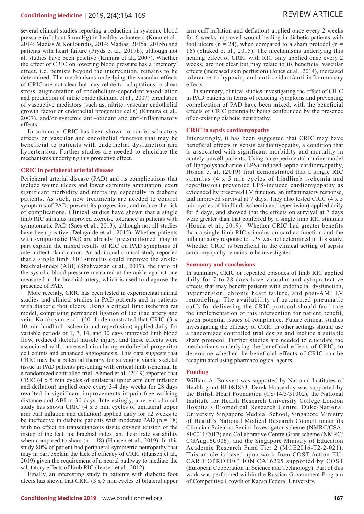several clinical studies reporting a reduction in systemic blood pressure (of about 5 mmHg) in healthy volunteers (Kono et al., 2014; Madias & Koulouridis, 2014; Madias, 2015a 2015b) and patients with heart failure (Pryds et al., 2017b), although not all studies have been positive (Kimura et al., 2007). Whether the effect of CRIC on lowering blood pressure has a 'memory' effect, i.e. persists beyond the intervention, remains to be determined. The mechanisms underlying the vascular effects of CRIC are not clear but may relate to: adaptations to shear stress, augmentation of endothelium-dependent vasodilation and production of nitric oxide (Kimura et al., 2007) circulation of vasoactive mediators (such as, nitrite, vascular endothelial growth factor or endothelial progenitor cells) (Kimura et al., 2007), and/or systemic anti-oxidant and anti-inflammatory effects.

In summary, CRIC has been shown to confer salutatory effects on vascular and endothelial function that may be beneficial to patients with endothelial dysfunction and hypertension. Further studies are needed to elucidate the mechanisms underlying this protective effect.

#### **CRIC in peripheral arterial disease**

Peripheral arterial disease (PAD) and its complications that include wound ulcers and lower extremity amputation, exert significant morbidity and mortality, especially in diabetic patients. As such, new treatments are needed to control symptoms of PAD, prevent its progression, and reduce the risk of complications. Clinical studies have shown that a single limb RIC stimulus improved exercise tolerance in patients with symptomatic PAD (Saes et al., 2013), although not all studies have been positive (Delagarde et al., 2015). Whether patients with symptomatic PAD are already 'preconditioned' may in part explain the mixed results of RIC on PAD symptoms of intermittent claudication. An additional clinical study reported that a single limb RIC stimulus could improve the anklebrachial-index (ABI) (Shahvazian et al., 2017), the ratio of the systolic blood pressure measured at the ankle against one measured at the brachial artery, which is used to diagnose the presence of PAD.

More recently, CRIC has been tested in experimental animal studies and clinical studies in PAD patients and in patients with diabetic foot ulcers. Using a critical limb ischemia rat model, comprising permanent ligation of the iliac artery and vein, Karakoyun et al. (2014) demonstrated that CRIC (3 x 10 min hindlimb ischemia and reperfusion) applied daily for variable periods of 1, 7, 14, and 30 days improved limb blood flow, reduced skeletal muscle injury, and these effects were associated with increased circulating endothelial progenitor cell counts and enhanced angiogenesis. This data suggests that CRIC may be a potential therapy for salvaging viable skeletal tissue in PAD patients presenting with critical limb ischemia. In a randomized controlled trial, Ahmed et al. (2019) reported that CRIC (4 x 5 min cycles of unilateral upper arm cuff inflation and deflation) applied once every 3-4 day weeks for 28 days resulted in significant improvements in pain-free walking distance and ABI at 30 days. Interestingly, a recent clinical study has shown CRIC (4 x 5 min cycles of unilateral upper arm cuff inflation and deflation) applied daily for 12 weeks to be ineffective in diabetic patients with moderate PAD  $(n = 18)$ with no effect on transcutaneous tissue oxygen tension of the instep of the feet, toe brachial index, and heart rate variability when compared to sham  $(n = 18)$  (Hansen et al., 2019). In this study 80% of patient had peripheral symmetric neuropathy that may in part explain the lack of efficacy of CRIC (Hansen et al., 2019) given the requirement of a neural pathway to mediate the salutatory effects of limb RIC (Jensen et al., 2012).

Finally, an interesting study in patients with diabetic foot ulcers has shown that CRIC (3 x 5 min cycles of bilateral upper

arm cuff inflation and deflation) applied once every 2 weeks for 6 weeks improved wound healing in diabetic patients with foot ulcers ( $n = 24$ ), when compared to a sham protocol ( $n =$ 16) (Shaked et al., 2015). The mechanisms underlying this healing effect of CRIC with RIC only applied once every 2 weeks, are not clear but may relate to its beneficial vascular effects (increased skin perfusion) (Jones et al., 2014), increased tolerance to hypoxia, and anti-oxidant/anti-inflammatory effects.

In summary, clinical studies investigating the effect of CRIC in PAD patients in terms of reducing symptoms and preventing complication of PAD have been mixed, with the beneficial effects of CRIC potentially being confounded by the presence of co-existing diabetic neuropathy.

#### **CRIC in sepsis cardiomyopathy**

Interestingly, it has been suggested that CRIC may have beneficial effects in sepsis cardiomyopathy, a condition that is associated with significant morbidity and mortality in acutely unwell patients. Using an experimental murine model of lipopolysaccharide (LPS)-induced septic cardiomyopathy, Honda et al. (2019) first demonstrated that a single RIC stimulus (4 x 5 min cycles of hindlimb ischemia and reperfusion) prevented LPS-induced cardiomyopathy as evidenced by preserved LV function, an inflammatory response, and improved survival at 7 days. They also tested CRIC (4 x 5 min cycles of hindlimb ischemia and reperfusion) applied daily for 5 days, and showed that the effects on survival at 7 days were greater than that conferred by a single limb RIC stimulus (Honda et al., 2019). Whether CRIC had greater benefits than a single limb RIC stimulus on cardiac function and the inflammatory response to LPS was not determined in this study. Whether CRIC is beneficial in the clinical setting of sepsis cardiomyopathy remains to be investigated.

#### **Summary and conclusions**

In summary, CRIC or repeated episodes of limb RIC applied daily for 7 to 28 days have vascular and cytoprotective effects that may benefit patients with endothelial dysfunction, hypertension, chronic heart failure, and post-AMI LV remodeling. The availability of automated pneumatic cuffs for delivering the CRIC protocol should facilitate the implementation of this intervention for patient benefit, given potential issues of compliance. Future clinical studies investigating the efficacy of CRIC in other settings should use a randomized controlled trial design and include a suitable sham protocol. Further studies are needed to elucidate the mechanisms underlying the beneficial effects of CRIC, to determine whether the beneficial effects of CRIC can be recapitulated using pharmacological agents.

#### **Funding**

William A. Boisvert was supported by National Institutes of Health grant HL081863. Derek Hausenloy was supported by the British Heart Foundation (CS/14/3/31002), the National Institute for Health Research University College London Hospitals Biomedical Research Centre, Duke-National University Singapore Medical School, Singapore Ministry of Health's National Medical Research Council under its Clinician Scientist-Senior Investigator scheme (NMRC/CSA-SI/0011/2017) and Collaborative Centre Grant scheme (NMRC/ CGAug16C006), and the Singapore Ministry of Education Academic Research Fund Tier 2 (MOE2016-T2-2-021). This article is based upon work from COST Action EU-CARDIOPROTECTION CA16225 supported by COST (European Cooperation in Science and Technology). Part of this work was performed within the Russian Government Program of Competitive Growth of Kazan Federal University.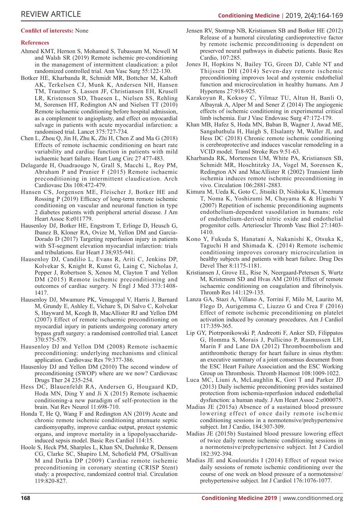### **Confilct of interests:** None

## **References**

- Ahmed KMT, Hernon S, Mohamed S, Tubassum M, Newell M and Walsh SR (2019) Remote ischemic pre-conditioning in the management of intermittent claudication: a pilot randomized controlled trial. Ann Vasc Surg 55:122-130.
- Botker HE, Kharbanda R, Schmidt MR, Bottcher M, Kaltoft AK, Terkelsen CJ, Munk K, Andersen NH, Hansen TM, Trautner S, Lassen JF, Christiansen EH, Krusell LR, Kristensen SD, Thuesen L, Nielsen SS, Rehling M, Sorensen HT, Redington AN and Nielsen TT (2010) Remote ischaemic conditioning before hospital admission, as a complement to angioplasty, and effect on myocardial salvage in patients with acute myocardial infarction: a randomised trial. Lancet 375:727-734.
- Chen L, Zhou Q, Jin H, Zhu K, Zhi H, Chen Z and Ma G (2018) Effects of remote ischaemic conditioning on heart rate variability and cardiac function in patients with mild ischaemic heart failure. Heart Lung Circ 27 477-483.
- Delagarde H, Ouadraougo N, Grall S, Macchi L, Roy PM, Abraham P and Prunier F (2015) Remote ischaemic preconditioning in intermittent claudication. Arch Cardiovasc Dis 108:472-479.
- Hansen CS, Jorgensen ME, Fleischer J, Botker HE and Rossing P (2019) Efficacy of long-term remote ischemic conditioning on vascular and neuronal function in type 2 diabetes patients with peripheral arterial disease. J Am Heart Assoc 8:e011779.
- Hausenloy DJ, Botker HE, Engstrom T, Erlinge D, Heusch G, Ibanez B, Kloner RA, Ovize M, Yellon DM and Garcia-Dorado D (2017) Targeting reperfusion injury in patients with ST-segment elevation myocardial infarction: trials and tribulations. Eur Heart J 38;935-941.
- Hausenloy DJ, Candilio L, Evans R, Ariti C, Jenkins DP, Kolvekar S, Knight R, Kunst G, Laing C, Nicholas J, Pepper J, Robertson S, Xenou M, Clayton T and Yellon DM (2015) Remote ischemic preconditioning and outcomes of cardiac surgery. N Engl J Med 373:1408- 1417.
- Hausenloy DJ, Mwamure PK, Venugopal V, Harris J, Barnard M, Grundy E, Ashley E, Vichare S, Di Salvo C, Kolvekar S, Hayward M, Keogh B, MacAllister RJ and Yellon DM (2007) Effect of remote ischaemic preconditioning on myocardial injury in patients undergoing coronary artery bypass graft surgery: a randomised controlled trial. Lancet 370:575-579.
- Hausenloy DJ and Yellon DM (2008) Remote ischaemic preconditioning: underlying mechanisms and clinical application. Cardiovasc Res 79:377-386.
- Hausenloy DJ and Yellon DM (2010) The second window of preconditioning (SWOP) where are we now? Cardiovasc Drugs Ther 24 235-254.
- Hess DC, Blauenfeldt RA, Andersen G, Hougaard KD, Hoda MN, Ding Y and Ji X (2015) Remote ischaemic conditioning-a new paradigm of self-protection in the brain. Nat Rev Neurol 11:698-710.
- Honda T, He Q, Wang F and Redington AN (2019) Acute and chronic remote ischemic conditioning attenuate septic cardiomyopathy, improve cardiac output, protect systemic organs, and improve mortality in a lipopolysaccharideinduced sepsis model. Basic Res Cardiol 114:15.
- Hoole S, Heck PM, Sharples L, Khan SN, Duehmke R, Densem CG, Clarke SC, Shapiro LM, Schofield PM, O'Sullivan M and Dutka DP (2009) Cardiac remote ischemic preconditioning in coronary stenting (CRISP Stent) study: a prospective, randomized control trial. Circulation 119:820-827.
- Jensen RV, Stottrup NB, Kristiansen SB and Botker HE (2012) Release of a humoral circulating cardioprotective factor by remote ischemic preconditioning is dependent on preserved neural pathways in diabetic patients. Basic Res Cardio, 107:285.
- Jones H, Hopkins N, Bailey TG, Green DJ, Cable NT and Thijssen DH (2014) Seven-day remote ischemic preconditioning improves local and systemic endothelial function and microcirculation in healthy humans. Am J Hypertens 27:918-925.
- Karakoyun R, Koksoy C, Yilmaz TU, Altun H, Banli O, Albayrak A, Alper M and Sener Z (2014) The angiogenic effects of ischemic conditioning in experimental critical limb ischemia. Eur J Vasc Endovasc Surg 47:172-179.
- Khan MB, Hafez S, Hoda MN, Baban B, Wagner J, Awad ME, Sangabathula H, Haigh S, Elsalanty M, Waller JL and Hess DC (2018) Chronic remote ischemic conditioning is cerebroprotective and induces vascular remodeling in a VCID model. Transl Stroke Res 9:51-63.
- Kharbanda RK, Mortensen UM, White PA, Kristiansen SB, Schmidt MR, Hoschtitzky JA, Vogel M, Sorensen K, Redington AN and MacAllister R (2002) Transient limb ischemia induces remote ischemic preconditioning in vivo. Circulation 106:2881-2883.
- Kimura M, Ueda K, Goto C, Jitsuiki D, Nishioka K, Umemura T, Noma K, Yoshizumi M, Chayama K & Higashi Y (2007) Repetition of ischemic preconditioning augments endothelium-dependent vasodilation in humans: role of endothelium-derived nitric oxide and endothelial progenitor cells. Arterioscler Thromb Vasc Biol 27:1403- 1410.
- Kono Y, Fukuda S, Hanatani A, Nakanishi K, Otsuka K, Taguchi H and Shimada K. (2014) Remote ischemic conditioning improves coronary microcirculation in healthy subjects and patients with heart failure. Drug Des Devel Ther 8:1175-1181.
- Kristiansen J, Grove EL, Rise N, Neergaard-Petersen S, Wurtz M, Kristensen SD and Hvas AM (2016) Effect of remote ischaemic conditioning on coagulation and fibrinolysis. Thromb Res 141:129-135.
- Lanza GA, Stazi A, Villano A, Torrini F, Milo M, Laurito M, Flego D, Aurigemma C, Liuzzo G and Crea F (2016) Effect of remote ischemic preconditioning on platelet activation induced by coronary procedures. Am J Cardiol 117:359-365.
- Lip GY, Piotrponikowski P, Andreotti F, Anker SD, Filippatos G, Homma S, Morais J, Pullicino P, Rasmussen LH, Marin F and Lane DA (2012) Thromboembolism and antithrombotic therapy for heart failure in sinus rhythm: an executive summary of a joint consensus document from the ESC Heart Failure Association and the ESC Working Group on Thrombosis. Thromb Haemost 108:1009-1022.
- Luca MC, Liuni A, McLaughlin K, Gori T and Parker JD (2013) Daily ischemic preconditioning provides sustained protection from ischemia-reperfusion induced endothelial dysfunction: a human study. J Am Heart Assoc 2:e000075.
- Madias JE (2015a) Absence of a sustained blood pressure lowering effect of once daily remote ischemic conditioning sessions in a normotensive/prehypertensive subject. Int J Cardio, 184:307-309.
- Madias JE (2015b) Sustained blood pressure lowering effect of twice daily remote ischemic conditioning sessions in a normotensive/prehypertensive subject. Int J Cardiol 182:392-394.
- Madias JE and Koulouridis I (2014) Effect of repeat twice daily sessions of remote ischemic conditioning over the course of one week on blood pressure of a normotensive/ prehypertensive subject. Int J Cardiol 176:1076-1077.